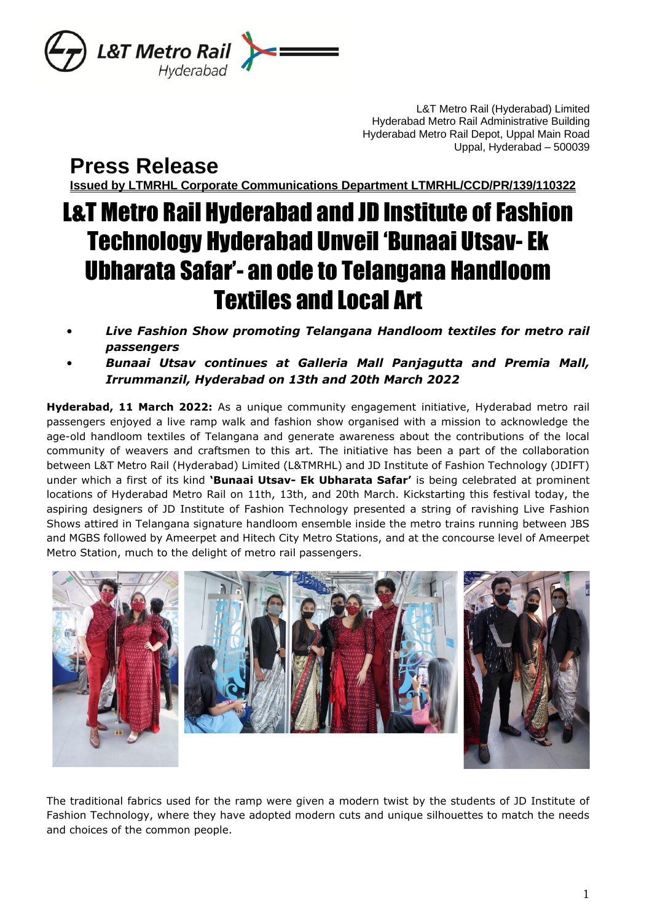

L&T Metro Rail (Hyderabad) Limited Hyderabad Metro Rail Administrative Building Hyderabad Metro Rail Depot, Uppal Main Road Uppal, Hyderabad – 500039

**Press Release**

**Issued by LTMRHL Corporate Communications Department LTMRHL/CCD/PR/139/110322**

## L&T Metro Rail Hyderabad and JD Institute of Fashion Technology Hyderabad Unveil 'Bunaai Utsav- Ek Ubharata Safar'- an ode to Telangana Handloom Textiles and Local Art

- *Live Fashion Show promoting Telangana Handloom textiles for metro rail passengers*
- *Bunaai Utsav continues at Galleria Mall Panjagutta and Premia Mall, Irrummanzil, Hyderabad on 13th and 20th March 2022*

**Hyderabad, 11 March 2022:** As a unique community engagement initiative, Hyderabad metro rail passengers enjoyed a live ramp walk and fashion show organised with a mission to acknowledge the age-old handloom textiles of Telangana and generate awareness about the contributions of the local community of weavers and craftsmen to this art. The initiative has been a part of the collaboration between L&T Metro Rail (Hyderabad) Limited (L&TMRHL) and JD Institute of Fashion Technology (JDIFT) under which a first of its kind **'Bunaai Utsav- Ek Ubharata Safar'** is being celebrated at prominent locations of Hyderabad Metro Rail on 11th, 13th, and 20th March. Kickstarting this festival today, the aspiring designers of JD Institute of Fashion Technology presented a string of ravishing Live Fashion Shows attired in Telangana signature handloom ensemble inside the metro trains running between JBS and MGBS followed by Ameerpet and Hitech City Metro Stations, and at the concourse level of Ameerpet Metro Station, much to the delight of metro rail passengers.



The traditional fabrics used for the ramp were given a modern twist by the students of JD Institute of Fashion Technology, where they have adopted modern cuts and unique silhouettes to match the needs and choices of the common people.